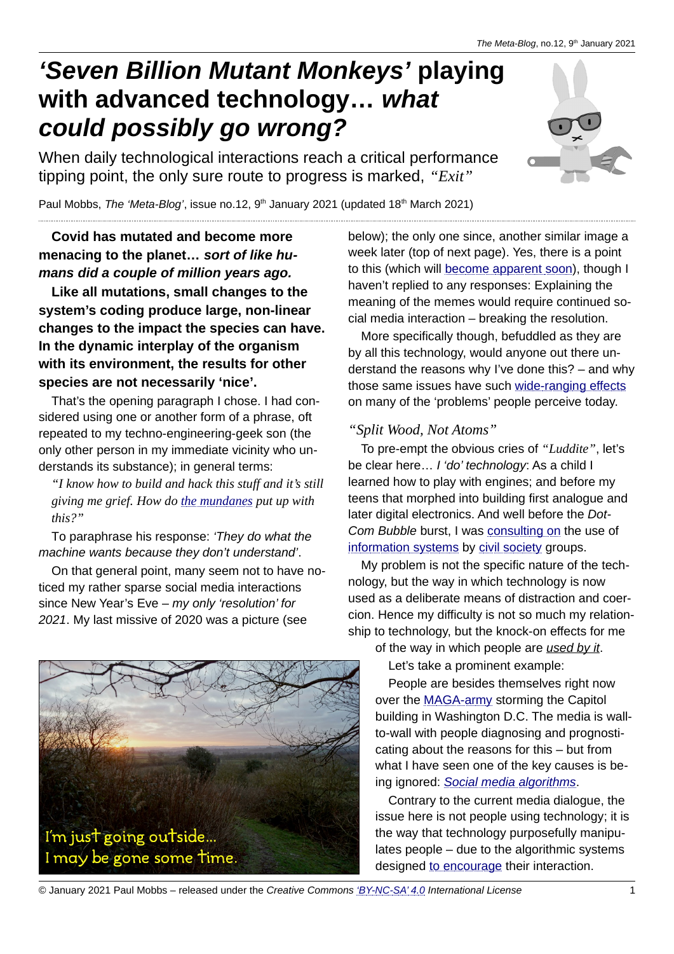# *'Seven Billion Mutant Monkeys'* **playing with advanced technology…** *what could possibly go wrong?*

When daily technological interactions reach a critical performance tipping point, the only sure route to progress is marked, *"Exit"*



Paul Mobbs, The 'Meta-Blog', issue no.12, 9<sup>th</sup> January 2021 (updated 18<sup>th</sup> March 2021)

## **Covid has mutated and become more menacing to the planet…** *sort of like humans did a couple of million years ago.*

**Like all mutations, small changes to the system's coding produce large, non-linear changes to the impact the species can have. In the dynamic interplay of the organism with its environment, the results for other species are not necessarily 'nice'.**

That's the opening paragraph I chose. I had considered using one or another form of a phrase, oft repeated to my techno-engineering-geek son (the only other person in my immediate vicinity who understands its substance); in general terms:

*"I know how to build and hack this stuff and it's still giving me grief. How do [the mundanes](https://en.wikipedia.org/wiki/Mundane) put up with this?"*

To paraphrase his response: *'They do what the machine wants because they don't understand'*.

On that general point, many seem not to have noticed my rather sparse social media interactions since New Year's Eve – *my only 'resolution' for 2021*. My last missive of 2020 was a picture (see

I'm just going outside...



More specifically though, befuddled as they are by all this technology, would anyone out there understand the reasons why I've done this? – and why those same issues have such [wide-ranging effects](http://www.fraw.org.uk/meir/2019/20191109-the_invisible_footprint_of_digital_tech.html) on many of the 'problems' people perceive today.

## *"Split Wood, Not Atoms"*

To pre-empt the obvious cries of *"Luddite"*, let's be clear here… *I 'do' technology*: As a child I learned how to play with engines; and before my teens that morphed into building first analogue and later digital electronics. And well before the *Dot-Com Bubble* burst, I was [consulting on](https://www.youtube.com/watch?v=DHRtrGciSUo) the use of [information systems](http://www.fraw.org.uk/meir/susict_book.html) by [civil society](http://www.fraw.org.uk/meir/irt.html) groups.

My problem is not the specific nature of the technology, but the way in which technology is now used as a deliberate means of distraction and coercion. Hence my difficulty is not so much my relationship to technology, but the knock-on effects for me of the way in which people are *used by it*.

Let's take a prominent example:

People are besides themselves right now over the [MAGA-army](https://en.wikipedia.org/wiki/QAnon) storming the Capitol building in Washington D.C. The media is wallto-wall with people diagnosing and prognosticating about the reasons for this – but from what I have seen one of the key causes is being ignored: *[Social media algorithms](https://en.wikipedia.org/wiki/The_Social_Dilemma)*.

Contrary to the current media dialogue, the issue here is not people using technology; it is the way that technology purposefully manipulates people – due to the algorithmic systems designed [to encourage](https://www.youtube.com/watch?v=UKftOH54iNU) their interaction.

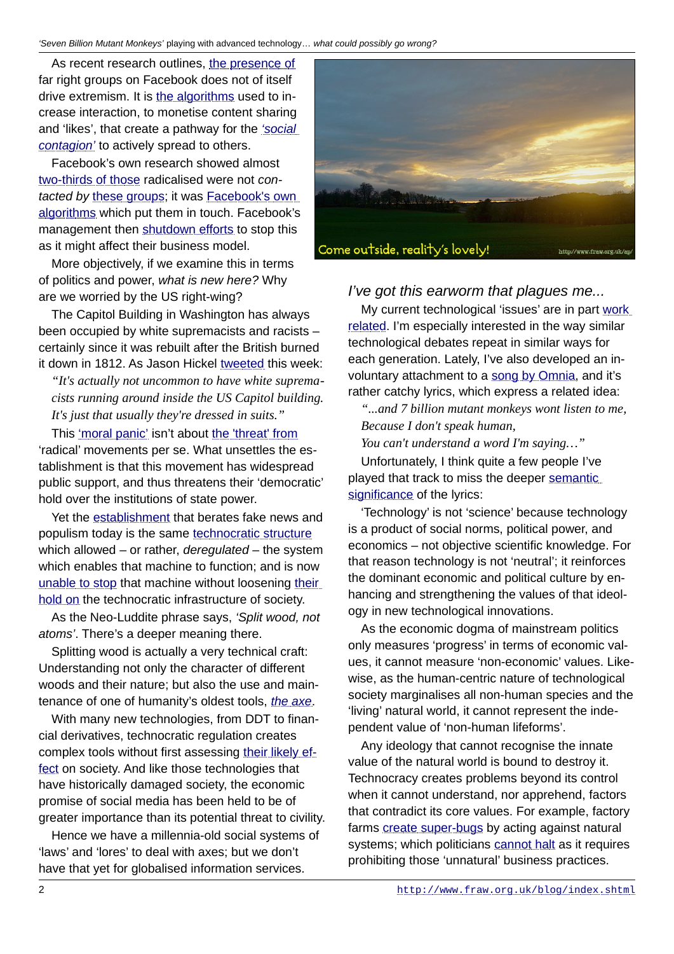As recent research outlines, [the presence of](https://www.nytimes.com/2018/11/24/opinion/sunday/facebook-twitter-terrorism-extremism.html) far right groups on Facebook does not of itself drive extremism. It is [the algorithms](https://www.dw.com/en/how-the-internet-fosters-far-right-radicalization/a-52471852) used to increase interaction, to monetise content sharing and 'likes', that create a pathway for the *'social [contagion'](https://www.nature.com/articles/s41599-020-00546-3)* to actively spread to others.

Facebook's own research showed almost [two-thirds of those](https://www.dailymail.co.uk/news/article-8360073/More-60-people-joining-extremist-groups-Facebook-pages-recommended-algorithms.html) radicalised were not *contacted by* [these groups](https://www.independent.co.uk/news/uk/home-news/facebook-britain-first-page-far-right-advert-paul-golding-adverts-a8828386.html); it was [Facebook's own](https://www.counterextremism.com/the-far-right-on-facebook) [algorithms](https://www.counterextremism.com/the-far-right-on-facebook) which put them in touch. Facebook's management then [shutdown efforts](https://www.msn.com/en-in/news/other/facebook-shuts-down-efforts-to-make-site-less-divisive-among-users/ar-BB14EohG) to stop this as it might affect their business model.

More objectively, if we examine this in terms of politics and power, *what is new here?* Why are we worried by the US right-wing?

The Capitol Building in Washington has always been occupied by white supremacists and racists – certainly since it was rebuilt after the British burned it down in 1812. As Jason Hickel [tweeted](https://twitter.com/jasonhickel/status/1347255108954939393) this week:

*"It's actually not uncommon to have white supremacists running around inside the US Capitol building. It's just that usually they're dressed in suits."*

This 'moral panic' isn't about [the 'threat' from](https://sci-hub.se/10.1177/1741659011417605) 'radical' movements per se. What unsettles the establishment is that this movement has widespread public support, and thus threatens their 'democratic' hold over the institutions of state power.

Yet the [establishment](https://en.wikipedia.org/wiki/Rationalism) that berates fake news and populism today is the same [technocratic structure](https://en.wikipedia.org/wiki/Technocracy) which allowed – or rather, *deregulated* – the system which enables that machine to function; and is now [unable to stop](https://www.ft.com/content/df695f10-154d-11e8-9376-4a6390addb44) that machine without loosening their hold on the technocratic infrastructure of society.

As the Neo-Luddite phrase says, *'Split wood, not atoms'*. There's a deeper meaning there.

Splitting wood is actually a very technical craft: Understanding not only the character of different woods and their nature; but also the use and maintenance of one of humanity's oldest tools, *[the axe](https://en.wikipedia.org/wiki/Axe#History)*.

With many new technologies, from DDT to financial derivatives, technocratic regulation creates complex tools without first assessing [their likely ef](https://en.wikipedia.org/wiki/Precautionary_principle)[fect](https://en.wikipedia.org/wiki/Precautionary_principle) on society. And like those technologies that have historically damaged society, the economic promise of social media has been held to be of greater importance than its potential threat to civility.

Hence we have a millennia-old social systems of 'laws' and 'lores' to deal with axes; but we don't have that yet for globalised information services.



#### *I've got this earworm that plagues me...*

My current technological 'issues' are in part work [related](http://www.fraw.org.uk/blog/2020/20201201-long_walks_and_ap.html). I'm especially interested in the way similar technological debates repeat in similar ways for each generation. Lately, I've also developed an involuntary attachment to a song by Omnia, and it's rather catchy lyrics, which express a related idea:

*"...and 7 billion mutant monkeys wont listen to me, Because I don't speak human,*

*You can't understand a word I'm saying…"*

Unfortunately, I think quite a few people I've played that track to miss the deeper [semantic](https://en.wikipedia.org/wiki/Cognitive_linguistics) significance of the lyrics:

'Technology' is not 'science' because technology is a product of social norms, political power, and economics – not objective scientific knowledge. For that reason technology is not 'neutral'; it reinforces the dominant economic and political culture by enhancing and strengthening the values of that ideology in new technological innovations.

As the economic dogma of mainstream politics only measures 'progress' in terms of economic values, it cannot measure 'non-economic' values. Likewise, as the human-centric nature of technological society marginalises all non-human species and the 'living' natural world, it cannot represent the independent value of 'non-human lifeforms'.

Any ideology that cannot recognise the innate value of the natural world is bound to destroy it. Technocracy creates problems beyond its control when it cannot understand, nor apprehend, factors that contradict its core values. For example, factory farms create super-bugs by acting against natural systems; which politicians [cannot halt](https://www.thebureauinvestigates.com/stories/2018-09-19/critical-antibiotics-still-used-us-farms) as it requires prohibiting those 'unnatural' business practices.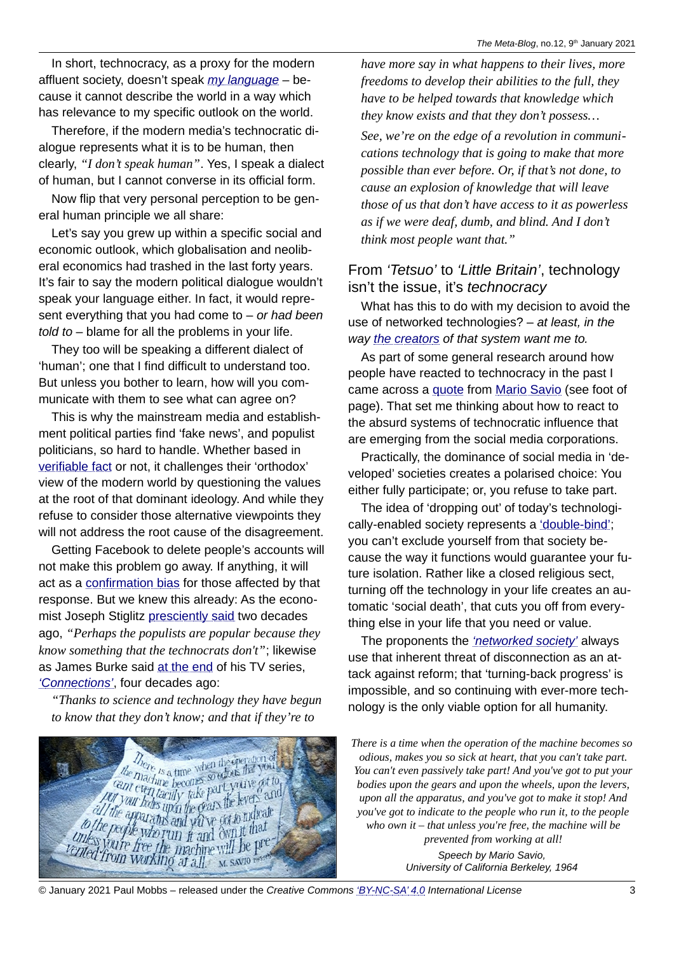In short, technocracy, as a proxy for the modern affluent society, doesn't speak *[my language](https://en.wikipedia.org/wiki/Deep_ecology)* – because it cannot describe the world in a way which has relevance to my specific outlook on the world.

Therefore, if the modern media's technocratic dialogue represents what it is to be human, then clearly, *"I don't speak human"*. Yes, I speak a dialect of human, but I cannot converse in its official form.

Now flip that very personal perception to be general human principle we all share:

Let's say you grew up within a specific social and economic outlook, which globalisation and neoliberal economics had trashed in the last forty years. It's fair to say the modern political dialogue wouldn't speak your language either. In fact, it would represent everything that you had come to – *or had been told to* – blame for all the problems in your life.

They too will be speaking a different dialect of 'human'; one that I find difficult to understand too. But unless you bother to learn, how will you communicate with them to see what can agree on?

This is why the mainstream media and establishment political parties find 'fake news', and populist politicians, so hard to handle. Whether based in [verifiable fact](https://en.wikipedia.org/wiki/Pluralism_in_economics) or not, it challenges their 'orthodox' view of the modern world by questioning the values at the root of that dominant ideology. And while they refuse to consider those alternative viewpoints they will not address the root cause of the disagreement.

Getting Facebook to delete people's accounts will not make this problem go away. If anything, it will act as a [confirmation bias](https://en.wikipedia.org/wiki/Confirmation_bias) for those affected by that response. But we knew this already: As the economist Joseph Stiglitz [presciently said](https://www.theguardian.com/politics/2003/jul/16/globalisation.economy) two decades ago, *"Perhaps the populists are popular because they know something that the technocrats don't"*; likewise as James Burke said [at the end](https://archive.org/details/james-burke-connections_s01e10) of his TV series, *['Connections'](https://en.wikipedia.org/wiki/Connections_(TV_series))*, four decades ago:

*"Thanks to science and technology they have begun to know that they don't know; and that if they're to* 



*have more say in what happens to their lives, more freedoms to develop their abilities to the full, they have to be helped towards that knowledge which they know exists and that they don't possess…*

*See, we're on the edge of a revolution in communications technology that is going to make that more possible than ever before. Or, if that's not done, to cause an explosion of knowledge that will leave those of us that don't have access to it as powerless as if we were deaf, dumb, and blind. And I don't think most people want that."*

#### From *'Tetsuo'* to *'Little Britain'*, technology isn't the issue, it's *technocracy*

What has this to do with my decision to avoid the use of networked technologies? – *at least, in the way [the creators](https://en.wikipedia.org/wiki/PayPal_Mafia) of that system want me to.*

As part of some general research around how people have reacted to technocracy in the past I came across a <u>quote</u> from [Mario Savio](https://en.wikiquote.org/wiki/Mario_Savio) (see foot of page). That set me thinking about how to react to the absurd systems of technocratic influence that are emerging from the social media corporations.

Practically, the dominance of social media in 'developed' societies creates a polarised choice: You either fully participate; or, you refuse to take part.

The idea of 'dropping out' of today's technologi-cally-enabled society represents a ['double-bind'](https://en.wikipedia.org/wiki/Double_bind); you can't exclude yourself from that society because the way it functions would guarantee your future isolation. Rather like a closed religious sect, turning off the technology in your life creates an automatic 'social death', that cuts you off from everything else in your life that you need or value.

The proponents the *['networked society'](https://en.wikipedia.org/wiki/Networked_Society)* always use that inherent threat of disconnection as an attack against reform; that 'turning-back progress' is impossible, and so continuing with ever-more technology is the only viable option for all humanity.

*There is a time when the operation of the machine becomes so odious, makes you so sick at heart, that you can't take part. You can't even passively take part! And you've got to put your bodies upon the gears and upon the wheels, upon the levers, upon all the apparatus, and you've got to make it stop! And you've got to indicate to the people who run it, to the people who own it – that unless you're free, the machine will be prevented from working at all! Speech by Mario Savio, University of California Berkeley, 1964*

© January 2021 Paul Mobbs – released under the *Creative Commons ['BY-NC-SA' 4.0](https://creativecommons.org/licenses/by-nc-sa/4.0/legalcode) International License* 3